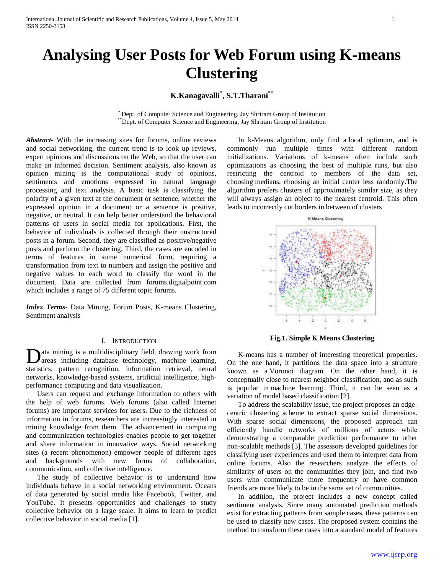# **Analysing User Posts for Web Forum using K-means Clustering**

## **K.Kanagavalli\* , S.T.Tharani\*\***

\* Dept. of Computer Science and Engineering, Jay Shriram Group of Institution \*\*Dept. of Computer Science and Engineering, Jay Shriram Group of Institution

*Abstract***-** With the increasing sites for forums, online reviews and social networking, the current trend is to look up reviews, expert opinions and discussions on the Web, so that the user can make an informed decision. Sentiment analysis, also known as opinion mining is the computational study of opinions, sentiments and emotions expressed in natural language processing and text analysis. A basic task is classifying the polarity of a given text at the document or sentence, whether the expressed opinion in a document or a sentence is positive, negative, or neutral. It can help better understand the behavioral patterns of users in social media for applications. First, the behavior of individuals is collected through their unstructured posts in a forum. Second, they are classified as positive/negative posts and perform the clustering. Third, the cases are encoded in terms of features in some numerical form, requiring a transformation from text to numbers and assign the positive and negative values to each word to classify the word in the document. Data are collected from forums.digitalpoint.com which includes a range of 75 different topic forums.

*Index Terms*- Data Mining, Forum Posts, K-means Clustering, Sentiment analysis

## I. INTRODUCTION

ata mining is a multidisciplinary field, drawing work from areas including database technology, machine learning, **D**ata mining is a multidisciplinary field, drawing work from<br>areas including database technology, machine learning,<br>statistics, pattern recognition, information retrieval, neural networks, knowledge-based systems, artificial intelligence, highperformance computing and data visualization.

 Users can request and exchange information to others with the help of web forums. Web forums (also called Internet forums) are important services for users. Due to the richness of information in forums, researchers are increasingly interested in mining knowledge from them. The advancement in computing and communication technologies enables people to get together and share information in innovative ways. Social networking sites (a recent phenomenon) empower people of different ages and backgrounds with new forms of collaboration, communication, and collective intelligence.

 The study of collective behavior is to understand how individuals behave in a social networking environment. Oceans of data generated by social media like Facebook, Twitter, and YouTube. It presents opportunities and challenges to study collective behavior on a large scale. It aims to learn to predict collective behavior in social media [1].

 In k-Means algorithm, only find a local optimum, and is commonly run multiple times with different random initializations. Variations of k-means often include such optimizations as choosing the best of multiple runs, but also restricting the centroid to members of the data set, choosing medians, choosing an initial center less randomly.The algorithm prefers clusters of approximately similar size, as they will always assign an object to the nearest centroid. This often leads to incorrectly cut borders in between of clusters



**Fig.1. Simple K Means Clustering**

 K-means has a number of interesting theoretical properties. On the one hand, it partitions the data space into a structure known as a Voronoi diagram. On the other hand, it is conceptually close to nearest neighbor classification, and as such is popular in machine learning. Third, it can be seen as a variation of model based classification [2].

 To address the scalability issue, the project proposes an edgecentric clustering scheme to extract sparse social dimensions. With sparse social dimensions, the proposed approach can efficiently handle networks of millions of actors while demonstrating a comparable prediction performance to other non-scalable methods [3]. The assessors developed guidelines for classifying user experiences and used them to interpret data from online forums. Also the researchers analyze the effects of similarity of users on the communities they join, and find two users who communicate more frequently or have common friends are more likely to be in the same set of communities.

 In addition, the project includes a new concept called sentiment analysis. Since many automated prediction methods exist for extracting patterns from sample cases, these patterns can be used to classify new cases. The proposed system contains the method to transform these cases into a standard model of features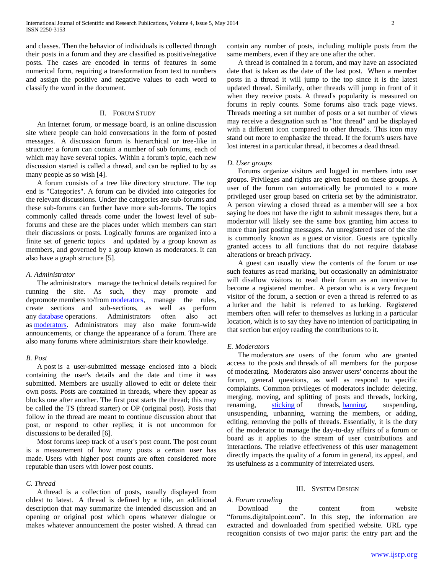and classes. Then the behavior of individuals is collected through their posts in a forum and they are classified as positive/negative posts. The cases are encoded in terms of features in some numerical form, requiring a transformation from text to numbers and assign the positive and negative values to each word to classify the word in the document.

## II. FORUM STUDY

 An Internet forum, or message board, is an online discussion site where people can hold conversations in the form of posted messages. A discussion forum is hierarchical or tree-like in structure: a forum can contain a number of sub forums, each of which may have several topics. Within a forum's topic, each new discussion started is called a thread, and can be replied to by as many people as so wish [4].

 A forum consists of a tree like directory structure. The top end is "Categories". A forum can be divided into categories for the relevant discussions. Under the categories are sub-forums and these sub-forums can further have more sub-forums. The topics commonly called threads come under the lowest level of subforums and these are the places under which members can start their discussions or posts. Logically forums are organized into a finite set of generic topics and updated by a group known as members, and governed by a group known as moderators. It can also have a graph structure [5].

## *A. Administrator*

 The administrators manage the technical details required for running the site. As such, they may promote and depromote members to/from [moderators,](http://en.wikipedia.org/wiki/Internet_forum#Moderators) manage the rules, create sections and sub-sections, as well as perform any [database](http://en.wikipedia.org/wiki/Database) operations. Administrators often also act as [moderators.](http://en.wikipedia.org/wiki/Internet_forum#Moderators) Administrators may also make forum-wide announcements, or change the appearance of a forum. There are also many forums where administrators share their knowledge.

## *B. Post*

 A post is a user-submitted message enclosed into a block containing the user's details and the date and time it was submitted. Members are usually allowed to edit or delete their own posts. Posts are contained in threads, where they appear as blocks one after another. The first post starts the thread; this may be called the TS (thread starter) or OP (original post). Posts that follow in the thread are meant to continue discussion about that post, or respond to other replies; it is not uncommon for discussions to be derailed [6].

 Most forums keep track of a user's post count. The post count is a measurement of how many posts a certain user has made. Users with higher post counts are often considered more reputable than users with lower post counts.

## *C. Thread*

 A thread is a collection of posts, usually displayed from oldest to latest. A thread is defined by a title, an additional description that may summarize the intended discussion and an opening or original post which opens whatever dialogue or makes whatever announcement the poster wished. A thread can

contain any number of posts, including multiple posts from the same members, even if they are one after the other.

 A thread is contained in a forum, and may have an associated date that is taken as the date of the last post. When a member posts in a thread it will jump to the top since it is the latest updated thread. Similarly, other threads will jump in front of it when they receive posts. A thread's popularity is measured on forums in reply counts. Some forums also track page views. Threads meeting a set number of posts or a set number of views may receive a designation such as "hot thread" and be displayed with a different icon compared to other threads. This icon may stand out more to emphasize the thread. If the forum's users have lost interest in a particular thread, it becomes a dead thread.

#### *D. User groups*

 Forums organize visitors and logged in members into user groups. Privileges and rights are given based on these groups. A user of the forum can automatically be promoted to a more privileged user group based on criteria set by the administrator. A person viewing a closed thread as a member will see a box saying he does not have the right to submit messages there, but a moderator will likely see the same box granting him access to more than just posting messages. An unregistered user of the site is commonly known as a guest or visitor. Guests are typically granted access to all functions that do not require database alterations or breach privacy.

 A guest can usually view the contents of the forum or use such features as read marking, but occasionally an administrator will disallow visitors to read their forum as an incentive to become a registered member. A person who is a very frequent visitor of the forum, a section or even a thread is referred to as a lurker and the habit is referred to as lurking. Registered members often will refer to themselves as lurking in a particular location, which is to say they have no intention of participating in that section but enjoy reading the contributions to it.

## *E. Moderators*

 The moderators are users of the forum who are granted access to the posts and threads of all members for the purpose of moderating. Moderators also answer users' concerns about the forum, general questions, as well as respond to specific complaints. Common privileges of moderators include: deleting, merging, moving, and splitting of posts and threads, locking, renaming, [sticking](http://en.wikipedia.org/wiki/Internet_forum#Thread) of threads, **banning**, suspending, unsuspending, unbanning, warning the members, or adding, editing, removing the polls of threads. Essentially, it is the duty of the moderator to manage the day-to-day affairs of a forum or board as it applies to the stream of user contributions and interactions. The relative effectiveness of this user management directly impacts the quality of a forum in general, its appeal, and its usefulness as a community of interrelated users.

## III. SYSTEM DESIGN

## *A. Forum crawling*

Download the content from website "forums.digitalpoint.com". In this step, the information are extracted and downloaded from specified website. URL type recognition consists of two major parts: the entry part and the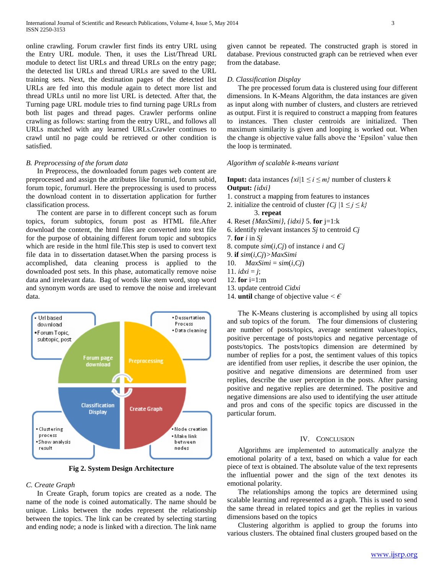online crawling. Forum crawler first finds its entry URL using the Entry URL module. Then, it uses the List/Thread URL module to detect list URLs and thread URLs on the entry page; the detected list URLs and thread URLs are saved to the URL training sets. Next, the destination pages of the detected list URLs are fed into this module again to detect more list and thread URLs until no more list URL is detected. After that, the Turning page URL module tries to find turning page URLs from both list pages and thread pages. Crawler performs online crawling as follows: starting from the entry URL, and follows all URLs matched with any learned URLs.Crawler continues to crawl until no page could be retrieved or other condition is satisfied.

## *B. Preprocessing of the forum data*

 In Preprocess, the downloaded forum pages web content are preprocessed and assign the attributes like forumid, forum subid, forum topic, forumurl. Here the preprocessing is used to process the download content in to dissertation application for further classification process.

 The content are parse in to different concept such as forum topics, forum subtopics, forum post as HTML file.After download the content, the html files are converted into text file for the purpose of obtaining different forum topic and subtopics which are reside in the html file.This step is used to convert text file data in to dissertation dataset.When the parsing process is accomplished, data cleaning process is applied to the downloaded post sets. In this phase, automatically remove noise data and irrelevant data. Bag of words like stem word, stop word and synonym words are used to remove the noise and irrelevant data.



**Fig 2. System Design Architecture**

## *C. Create Graph*

 In Create Graph, forum topics are created as a node. The name of the node is coined automatically. The name should be unique. Links between the nodes represent the relationship between the topics. The link can be created by selecting starting and ending node; a node is linked with a direction. The link name

given cannot be repeated. The constructed graph is stored in database. Previous constructed graph can be retrieved when ever from the database.

## *D. Classification Display*

 The pre processed forum data is clustered using four different dimensions. In K-Means Algorithm, the data instances are given as input along with number of clusters, and clusters are retrieved as output. First it is required to construct a mapping from features to instances. Then cluster centroids are initialized. Then maximum similarity is given and looping is worked out. When the change is objective value falls above the 'Epsilon' value then the loop is terminated.

## *Algorithm of scalable k-means variant*

## **Input:** data instances  $\{xi|1 \leq i \leq m\}$  number of clusters *k* **Output:** *{idxi}*

- 1. construct a mapping from features to instances
- 2. initialize the centroid of cluster  $\{C_j | 1 \leq j \leq k\}$ 
	- 3. **repeat**
- 4. Reset *{MaxSimi}*, *{idxi}* 5. **for** j=1:k
- 6. identify relevant instances *Sj* to centroid *Cj*
- 7. **for** *i* in *Sj*
- 8. compute *sim*(*i,Cj*) of instance *i* and *Cj*
- 9. **if** *sim*(*i,Cj*)*>MaxSimi*
- 10.  $MaxSimi = sim(i, Cj)$
- 11. *idxi* = *j*;
- 12. **for** i=1:m
- 13. update centroid *Cidxi*
- 14. **until** change of objective value *< €*

 The K-Means clustering is accomplished by using all topics and sub topics of the forum. The four dimensions of clustering are number of posts/topics, average sentiment values/topics, positive percentage of posts/topics and negative percentage of posts/topics. The posts/topics dimension are determined by number of replies for a post, the sentiment values of this topics are identified from user replies, it describe the user opinion, the positive and negative dimensions are determined from user replies, describe the user perception in the posts. After parsing positive and negative replies are determined. The positive and negative dimensions are also used to identifying the user attitude and pros and cons of the specific topics are discussed in the particular forum.

## IV. CONCLUSION

 Algorithms are implemented to automatically analyze the emotional polarity of a text, based on which a value for each piece of text is obtained. The absolute value of the text represents the influential power and the sign of the text denotes its emotional polarity.

 The relationships among the topics are determined using scalable learning and represented as a graph. This is used to send the same thread in related topics and get the replies in various dimensions based on the topics

 Clustering algorithm is applied to group the forums into various clusters. The obtained final clusters grouped based on the